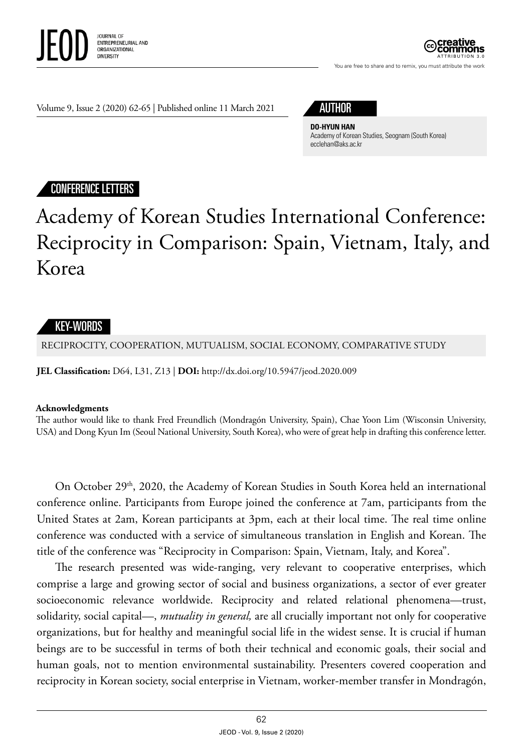

You are free to share and to remix, you must attribute the work

Volume 9, Issue 2 (2020) 62-65 | Published online 11 March 2021

## AUTHOR

**DO-HYUN HAN** Academy of Korean Studies, Seognam (South Korea) ecclehan@aks.ac.kr

### CONFERENCE LETTERS

# Academy of Korean Studies International Conference: Reciprocity in Comparison: Spain, Vietnam, Italy, and Korea

### KEY-WORDS

RECIPROCITY, COOPERATION, MUTUALISM, SOCIAL ECONOMY, COMPARATIVE STUDY

**JEL Classification:** D64, L31, Z13 | **DOI:** http: /dx.doi.org/10.5947/jeod.2020.009

#### **Acknowledgments**

The author would like to thank Fred Freundlich (Mondragón University, Spain), Chae Yoon Lim (Wisconsin University, USA) and Dong Kyun Im (Seoul National University, South Korea), who were of great help in drafting this conference letter.

On October 29<sup>th</sup>, 2020, the Academy of Korean Studies in South Korea held an international conference online. Participants from Europe joined the conference at 7am, participants from the United States at 2am, Korean participants at 3pm, each at their local time. The real time online conference was conducted with a service of simultaneous translation in English and Korean. The title of the conference was "Reciprocity in Comparison: Spain, Vietnam, Italy, and Korea".

The research presented was wide-ranging, very relevant to cooperative enterprises, which comprise a large and growing sector of social and business organizations, a sector of ever greater socioeconomic relevance worldwide. Reciprocity and related relational phenomena—trust, solidarity, social capital—, *mutuality in general,* are all crucially important not only for cooperative organizations, but for healthy and meaningful social life in the widest sense. It is crucial if human beings are to be successful in terms of both their technical and economic goals, their social and human goals, not to mention environmental sustainability. Presenters covered cooperation and reciprocity in Korean society, social enterprise in Vietnam, worker-member transfer in Mondragón,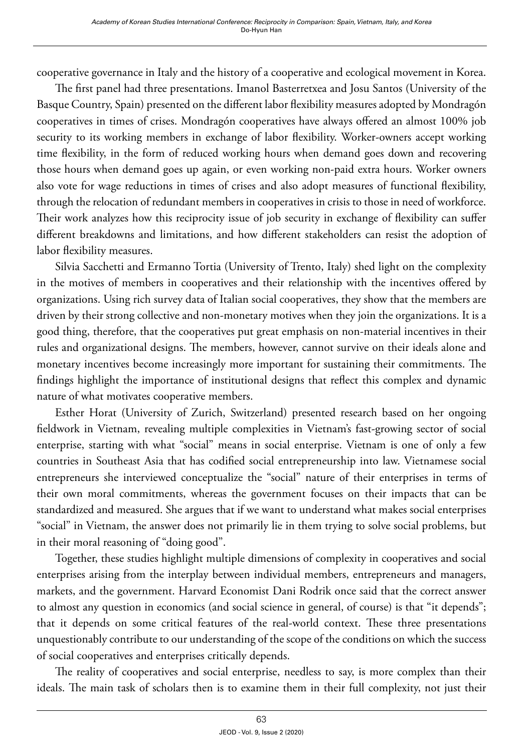cooperative governance in Italy and the history of a cooperative and ecological movement in Korea.

The first panel had three presentations. Imanol Basterretxea and Josu Santos (University of the Basque Country, Spain) presented on the different labor flexibility measures adopted by Mondragón cooperatives in times of crises. Mondragón cooperatives have always offered an almost 100% job security to its working members in exchange of labor flexibility. Worker-owners accept working time flexibility, in the form of reduced working hours when demand goes down and recovering those hours when demand goes up again, or even working non-paid extra hours. Worker owners also vote for wage reductions in times of crises and also adopt measures of functional flexibility, through the relocation of redundant members in cooperatives in crisis to those in need of workforce. Their work analyzes how this reciprocity issue of job security in exchange of flexibility can suffer different breakdowns and limitations, and how different stakeholders can resist the adoption of labor flexibility measures.

Silvia Sacchetti and Ermanno Tortia (University of Trento, Italy) shed light on the complexity in the motives of members in cooperatives and their relationship with the incentives offered by organizations. Using rich survey data of Italian social cooperatives, they show that the members are driven by their strong collective and non-monetary motives when they join the organizations. It is a good thing, therefore, that the cooperatives put great emphasis on non-material incentives in their rules and organizational designs. The members, however, cannot survive on their ideals alone and monetary incentives become increasingly more important for sustaining their commitments. The findings highlight the importance of institutional designs that reflect this complex and dynamic nature of what motivates cooperative members.

Esther Horat (University of Zurich, Switzerland) presented research based on her ongoing fieldwork in Vietnam, revealing multiple complexities in Vietnam's fast-growing sector of social enterprise, starting with what "social" means in social enterprise. Vietnam is one of only a few countries in Southeast Asia that has codified social entrepreneurship into law. Vietnamese social entrepreneurs she interviewed conceptualize the "social" nature of their enterprises in terms of their own moral commitments, whereas the government focuses on their impacts that can be standardized and measured. She argues that if we want to understand what makes social enterprises "social" in Vietnam, the answer does not primarily lie in them trying to solve social problems, but in their moral reasoning of "doing good".

Together, these studies highlight multiple dimensions of complexity in cooperatives and social enterprises arising from the interplay between individual members, entrepreneurs and managers, markets, and the government. Harvard Economist Dani Rodrik once said that the correct answer to almost any question in economics (and social science in general, of course) is that "it depends"; that it depends on some critical features of the real-world context. These three presentations unquestionably contribute to our understanding of the scope of the conditions on which the success of social cooperatives and enterprises critically depends.

The reality of cooperatives and social enterprise, needless to say, is more complex than their ideals. The main task of scholars then is to examine them in their full complexity, not just their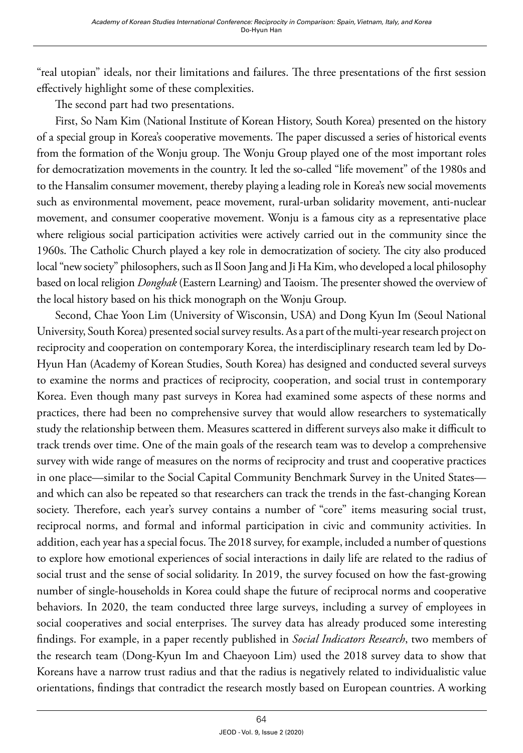"real utopian" ideals, nor their limitations and failures. The three presentations of the first session effectively highlight some of these complexities.

The second part had two presentations.

First, So Nam Kim (National Institute of Korean History, South Korea) presented on the history of a special group in Korea's cooperative movements. The paper discussed a series of historical events from the formation of the Wonju group. The Wonju Group played one of the most important roles for democratization movements in the country. It led the so-called "life movement" of the 1980s and to the Hansalim consumer movement, thereby playing a leading role in Korea's new social movements such as environmental movement, peace movement, rural-urban solidarity movement, anti-nuclear movement, and consumer cooperative movement. Wonju is a famous city as a representative place where religious social participation activities were actively carried out in the community since the 1960s. The Catholic Church played a key role in democratization of society. The city also produced local "new society" philosophers, such as Il Soon Jang and Ji Ha Kim, who developed a local philosophy based on local religion *Donghak* (Eastern Learning) and Taoism. The presenter showed the overview of the local history based on his thick monograph on the Wonju Group.

Second, Chae Yoon Lim (University of Wisconsin, USA) and Dong Kyun Im (Seoul National University, South Korea) presented social survey results. As a part of the multi-year research project on reciprocity and cooperation on contemporary Korea, the interdisciplinary research team led by Do-Hyun Han (Academy of Korean Studies, South Korea) has designed and conducted several surveys to examine the norms and practices of reciprocity, cooperation, and social trust in contemporary Korea. Even though many past surveys in Korea had examined some aspects of these norms and practices, there had been no comprehensive survey that would allow researchers to systematically study the relationship between them. Measures scattered in different surveys also make it difficult to track trends over time. One of the main goals of the research team was to develop a comprehensive survey with wide range of measures on the norms of reciprocity and trust and cooperative practices in one place—similar to the Social Capital Community Benchmark Survey in the United States and which can also be repeated so that researchers can track the trends in the fast-changing Korean society. Therefore, each year's survey contains a number of "core" items measuring social trust, reciprocal norms, and formal and informal participation in civic and community activities. In addition, each year has a special focus. The 2018 survey, for example, included a number of questions to explore how emotional experiences of social interactions in daily life are related to the radius of social trust and the sense of social solidarity. In 2019, the survey focused on how the fast-growing number of single-households in Korea could shape the future of reciprocal norms and cooperative behaviors. In 2020, the team conducted three large surveys, including a survey of employees in social cooperatives and social enterprises. The survey data has already produced some interesting findings. For example, in a paper recently published in *Social Indicators Research*, two members of the research team (Dong-Kyun Im and Chaeyoon Lim) used the 2018 survey data to show that Koreans have a narrow trust radius and that the radius is negatively related to individualistic value orientations, findings that contradict the research mostly based on European countries. A working